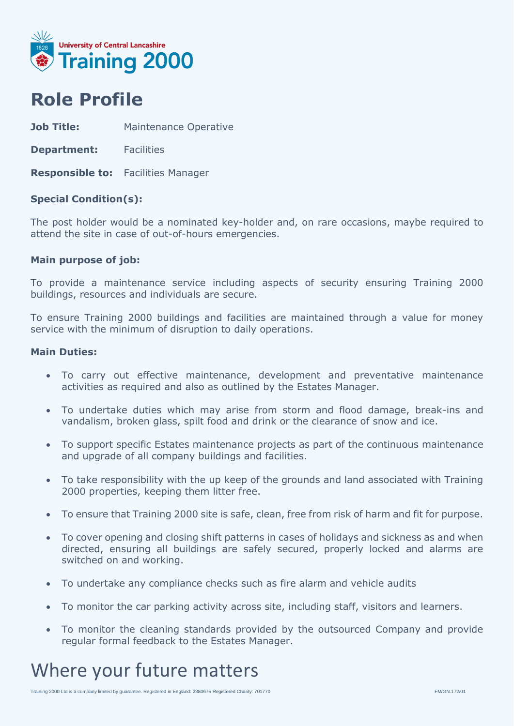

### **Role Profile**

**Job Title:** Maintenance Operative

**Department:** Facilities

**Responsible to:** Facilities Manager

#### **Special Condition(s):**

The post holder would be a nominated key-holder and, on rare occasions, maybe required to attend the site in case of out-of-hours emergencies.

#### **Main purpose of job:**

To provide a maintenance service including aspects of security ensuring Training 2000 buildings, resources and individuals are secure.

To ensure Training 2000 buildings and facilities are maintained through a value for money service with the minimum of disruption to daily operations.

#### **Main Duties:**

- To carry out effective maintenance, development and preventative maintenance activities as required and also as outlined by the Estates Manager.
- To undertake duties which may arise from storm and flood damage, break-ins and vandalism, broken glass, spilt food and drink or the clearance of snow and ice.
- To support specific Estates maintenance projects as part of the continuous maintenance and upgrade of all company buildings and facilities.
- To take responsibility with the up keep of the grounds and land associated with Training 2000 properties, keeping them litter free.
- To ensure that Training 2000 site is safe, clean, free from risk of harm and fit for purpose.
- To cover opening and closing shift patterns in cases of holidays and sickness as and when directed, ensuring all buildings are safely secured, properly locked and alarms are switched on and working.
- To undertake any compliance checks such as fire alarm and vehicle audits
- To monitor the car parking activity across site, including staff, visitors and learners.
- To monitor the cleaning standards provided by the outsourced Company and provide regular formal feedback to the Estates Manager.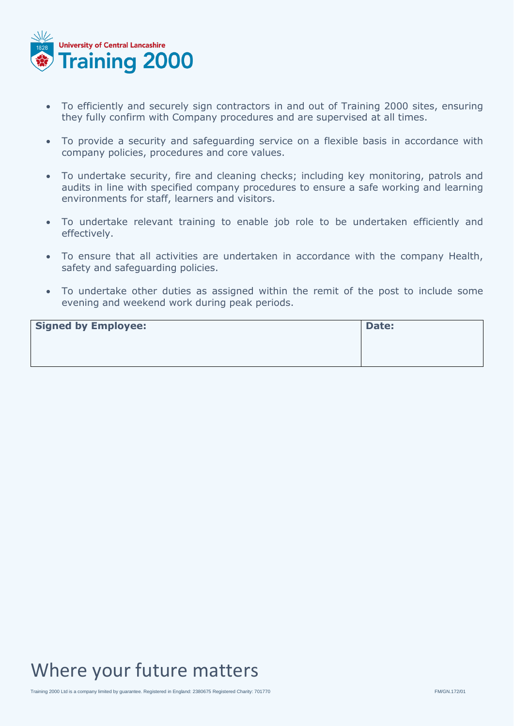

- To efficiently and securely sign contractors in and out of Training 2000 sites, ensuring they fully confirm with Company procedures and are supervised at all times.
- To provide a security and safeguarding service on a flexible basis in accordance with company policies, procedures and core values.
- To undertake security, fire and cleaning checks; including key monitoring, patrols and audits in line with specified company procedures to ensure a safe working and learning environments for staff, learners and visitors.
- To undertake relevant training to enable job role to be undertaken efficiently and effectively.
- To ensure that all activities are undertaken in accordance with the company Health, safety and safeguarding policies.
- To undertake other duties as assigned within the remit of the post to include some evening and weekend work during peak periods.

| <b>Signed by Employee:</b> | Date: |
|----------------------------|-------|
|                            |       |
|                            |       |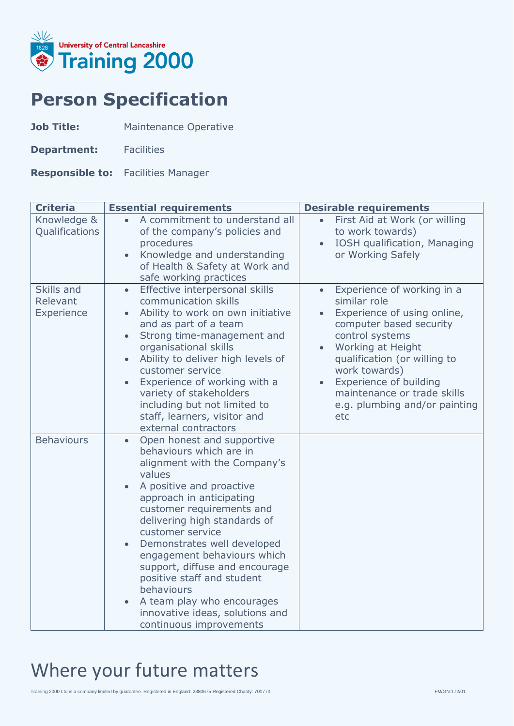

## **Person Specification**

**Job Title:** Maintenance Operative

**Department:** Facilities

**Responsible to:** Facilities Manager

| <b>Criteria</b>                      | <b>Essential requirements</b>                                                                                                                                                                                                                                                                                                                                                                                                                                                    | <b>Desirable requirements</b>                                                                                                                                                                                                                                                                               |
|--------------------------------------|----------------------------------------------------------------------------------------------------------------------------------------------------------------------------------------------------------------------------------------------------------------------------------------------------------------------------------------------------------------------------------------------------------------------------------------------------------------------------------|-------------------------------------------------------------------------------------------------------------------------------------------------------------------------------------------------------------------------------------------------------------------------------------------------------------|
| Knowledge &<br>Qualifications        | A commitment to understand all<br>$\bullet$<br>of the company's policies and<br>procedures<br>Knowledge and understanding<br>of Health & Safety at Work and<br>safe working practices                                                                                                                                                                                                                                                                                            | First Aid at Work (or willing<br>$\bullet$<br>to work towards)<br>IOSH qualification, Managing<br>or Working Safely                                                                                                                                                                                         |
| Skills and<br>Relevant<br>Experience | Effective interpersonal skills<br>$\bullet$<br>communication skills<br>Ability to work on own initiative<br>and as part of a team<br>Strong time-management and<br>organisational skills<br>Ability to deliver high levels of<br>customer service<br>Experience of working with a<br>variety of stakeholders<br>including but not limited to<br>staff, learners, visitor and<br>external contractors                                                                             | Experience of working in a<br>$\bullet$<br>similar role<br>Experience of using online,<br>computer based security<br>control systems<br>Working at Height<br>qualification (or willing to<br>work towards)<br>Experience of building<br>maintenance or trade skills<br>e.g. plumbing and/or painting<br>etc |
| <b>Behaviours</b>                    | Open honest and supportive<br>behaviours which are in<br>alignment with the Company's<br>values<br>A positive and proactive<br>approach in anticipating<br>customer requirements and<br>delivering high standards of<br>customer service<br>Demonstrates well developed<br>engagement behaviours which<br>support, diffuse and encourage<br>positive staff and student<br>behaviours<br>A team play who encourages<br>innovative ideas, solutions and<br>continuous improvements |                                                                                                                                                                                                                                                                                                             |